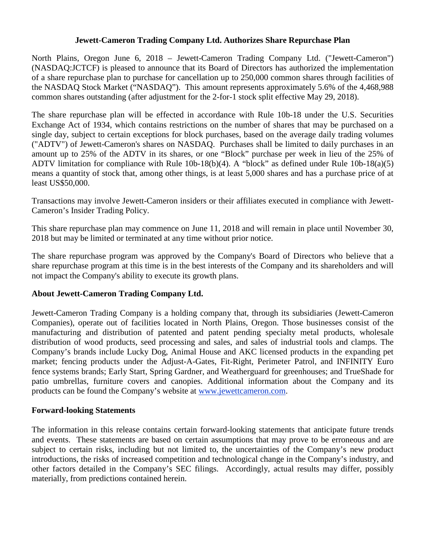## **Jewett-Cameron Trading Company Ltd. Authorizes Share Repurchase Plan**

North Plains, Oregon June 6, 2018 – Jewett-Cameron Trading Company Ltd. ("Jewett-Cameron") (NASDAQ:JCTCF) is pleased to announce that its Board of Directors has authorized the implementation of a share repurchase plan to purchase for cancellation up to 250,000 common shares through facilities of the NASDAQ Stock Market ("NASDAQ"). This amount represents approximately 5.6% of the 4,468,988 common shares outstanding (after adjustment for the 2-for-1 stock split effective May 29, 2018).

The share repurchase plan will be effected in accordance with Rule 10b-18 under the U.S. Securities Exchange Act of 1934, which contains restrictions on the number of shares that may be purchased on a single day, subject to certain exceptions for block purchases, based on the average daily trading volumes ("ADTV") of Jewett-Cameron's shares on NASDAQ. Purchases shall be limited to daily purchases in an amount up to 25% of the ADTV in its shares, or one "Block" purchase per week in lieu of the 25% of ADTV limitation for compliance with Rule 10b-18(b)(4). A "block" as defined under Rule 10b-18(a)(5) means a quantity of stock that, among other things, is at least 5,000 shares and has a purchase price of at least US\$50,000.

Transactions may involve Jewett-Cameron insiders or their affiliates executed in compliance with Jewett-Cameron's Insider Trading Policy.

This share repurchase plan may commence on June 11, 2018 and will remain in place until November 30, 2018 but may be limited or terminated at any time without prior notice.

The share repurchase program was approved by the Company's Board of Directors who believe that a share repurchase program at this time is in the best interests of the Company and its shareholders and will not impact the Company's ability to execute its growth plans.

## **About Jewett-Cameron Trading Company Ltd.**

Jewett-Cameron Trading Company is a holding company that, through its subsidiaries (Jewett-Cameron Companies), operate out of facilities located in North Plains, Oregon. Those businesses consist of the manufacturing and distribution of patented and patent pending specialty metal products, wholesale distribution of wood products, seed processing and sales, and sales of industrial tools and clamps. The Company's brands include Lucky Dog, Animal House and AKC licensed products in the expanding pet market; fencing products under the Adjust-A-Gates, Fit-Right, Perimeter Patrol, and INFINITY Euro fence systems brands; Early Start, Spring Gardner, and Weatherguard for greenhouses; and TrueShade for patio umbrellas, furniture covers and canopies. Additional information about the Company and its products can be found the Company's website at www.jewettcameron.com.

## **Forward-looking Statements**

The information in this release contains certain forward-looking statements that anticipate future trends and events. These statements are based on certain assumptions that may prove to be erroneous and are subject to certain risks, including but not limited to, the uncertainties of the Company's new product introductions, the risks of increased competition and technological change in the Company's industry, and other factors detailed in the Company's SEC filings. Accordingly, actual results may differ, possibly materially, from predictions contained herein.